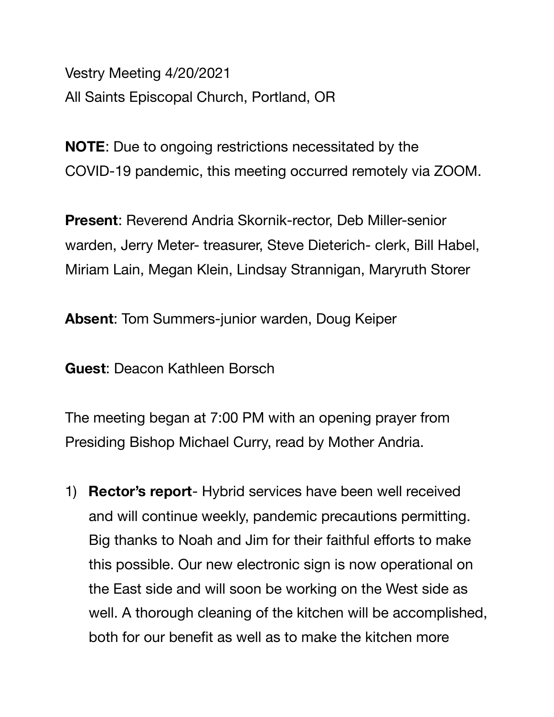Vestry Meeting 4/20/2021 All Saints Episcopal Church, Portland, OR

**NOTE**: Due to ongoing restrictions necessitated by the COVID-19 pandemic, this meeting occurred remotely via ZOOM.

**Present**: Reverend Andria Skornik-rector, Deb Miller-senior warden, Jerry Meter- treasurer, Steve Dieterich- clerk, Bill Habel, Miriam Lain, Megan Klein, Lindsay Strannigan, Maryruth Storer

**Absent**: Tom Summers-junior warden, Doug Keiper

**Guest**: Deacon Kathleen Borsch

The meeting began at 7:00 PM with an opening prayer from Presiding Bishop Michael Curry, read by Mother Andria.

1) **Rector's report**- Hybrid services have been well received and will continue weekly, pandemic precautions permitting. Big thanks to Noah and Jim for their faithful efforts to make this possible. Our new electronic sign is now operational on the East side and will soon be working on the West side as well. A thorough cleaning of the kitchen will be accomplished, both for our benefit as well as to make the kitchen more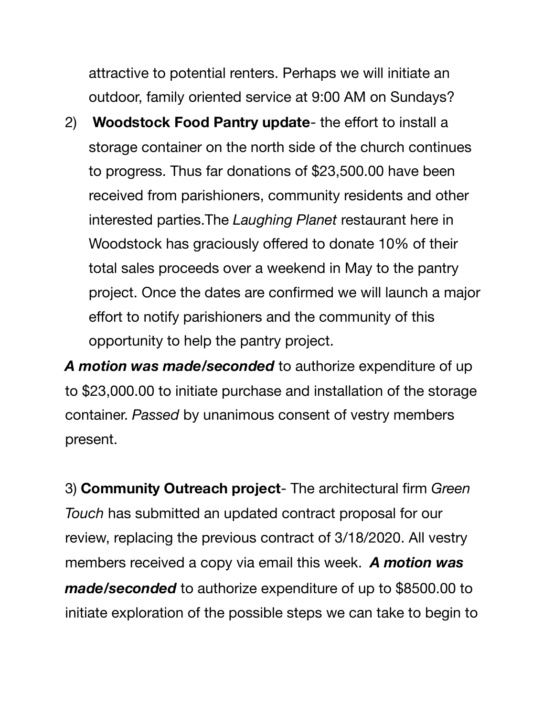attractive to potential renters. Perhaps we will initiate an outdoor, family oriented service at 9:00 AM on Sundays?

2) **Woodstock Food Pantry update**- the effort to install a storage container on the north side of the church continues to progress. Thus far donations of \$23,500.00 have been received from parishioners, community residents and other interested parties.The *Laughing Planet* restaurant here in Woodstock has graciously offered to donate 10% of their total sales proceeds over a weekend in May to the pantry project. Once the dates are confirmed we will launch a major effort to notify parishioners and the community of this opportunity to help the pantry project.

*A motion was made/seconded* to authorize expenditure of up to \$23,000.00 to initiate purchase and installation of the storage container. *Passed* by unanimous consent of vestry members present.

3) **Community Outreach project**- The architectural firm *Green Touch* has submitted an updated contract proposal for our review, replacing the previous contract of 3/18/2020. All vestry members received a copy via email this week. *A motion was made/seconded* to authorize expenditure of up to \$8500.00 to initiate exploration of the possible steps we can take to begin to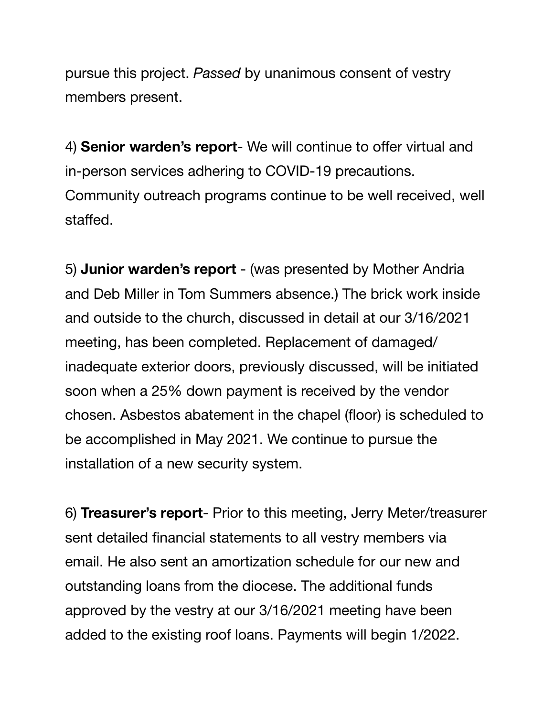pursue this project. *Passed* by unanimous consent of vestry members present.

4) **Senior warden's report**- We will continue to offer virtual and in-person services adhering to COVID-19 precautions. Community outreach programs continue to be well received, well staffed.

5) **Junior warden's report** - (was presented by Mother Andria and Deb Miller in Tom Summers absence.) The brick work inside and outside to the church, discussed in detail at our 3/16/2021 meeting, has been completed. Replacement of damaged/ inadequate exterior doors, previously discussed, will be initiated soon when a 25% down payment is received by the vendor chosen. Asbestos abatement in the chapel (floor) is scheduled to be accomplished in May 2021. We continue to pursue the installation of a new security system.

6) **Treasurer's report**- Prior to this meeting, Jerry Meter/treasurer sent detailed financial statements to all vestry members via email. He also sent an amortization schedule for our new and outstanding loans from the diocese. The additional funds approved by the vestry at our 3/16/2021 meeting have been added to the existing roof loans. Payments will begin 1/2022.